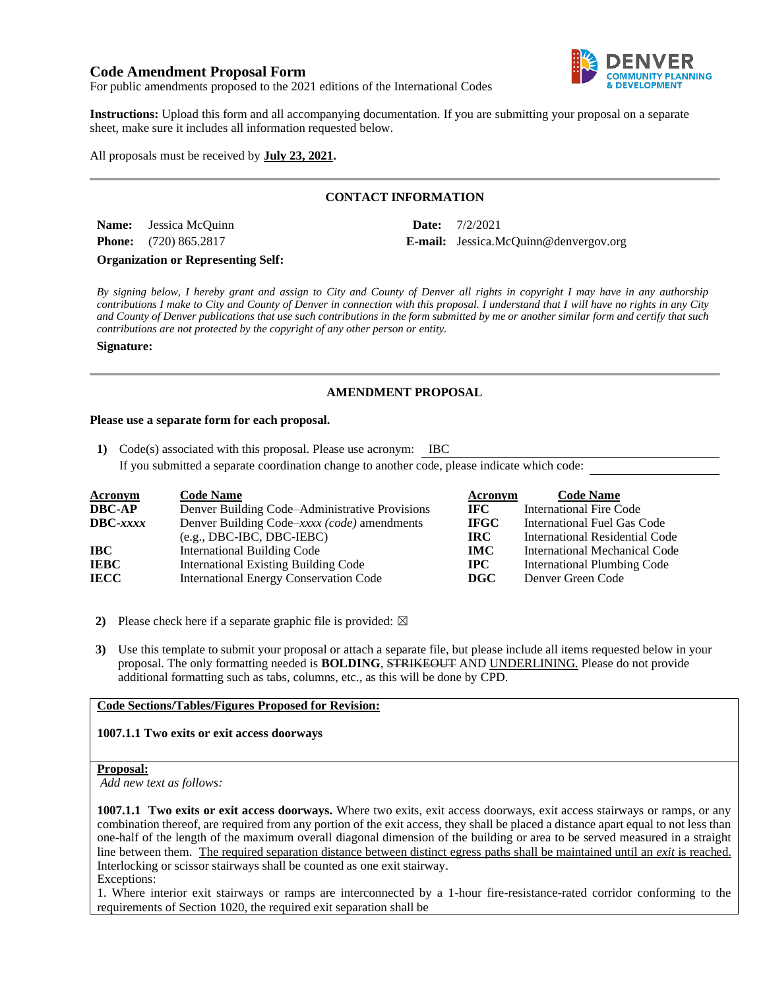# **Code Amendment Proposal Form**



For public amendments proposed to the 2021 editions of the International Codes

**Instructions:** Upload this form and all accompanying documentation. If you are submitting your proposal on a separate sheet, make sure it includes all information requested below.

# All proposals must be received by **July 23, 2021.**

# **CONTACT INFORMATION**

**Name:** Jessica McQuinn **Date:** 7/2/2021

**Phone:** (720) 865.2817 **E-mail:** Jessica.McQuinn@denvergov.org

**Organization or Representing Self:**

*By signing below, I hereby grant and assign to City and County of Denver all rights in copyright I may have in any authorship contributions I make to City and County of Denver in connection with this proposal. I understand that I will have no rights in any City and County of Denver publications that use such contributions in the form submitted by me or another similar form and certify that such contributions are not protected by the copyright of any other person or entity.* 

#### **Signature:**

# **AMENDMENT PROPOSAL**

#### **Please use a separate form for each proposal.**

**1)** Code(s) associated with this proposal. Please use acronym: IBC

If you submitted a separate coordination change to another code, please indicate which code:

| <b>Acronym</b>    | <b>Code Name</b>                               | Acronym     | <b>Code Name</b>               |
|-------------------|------------------------------------------------|-------------|--------------------------------|
| <b>DBC-AP</b>     | Denver Building Code–Administrative Provisions | IFC -       | <b>International Fire Code</b> |
| $\text{DBC}-xxxx$ | Denver Building Code–xxxx (code) amendments    | <b>IFGC</b> | International Fuel Gas Code    |
|                   | $(e.g., DBC-IBC, DBC-IEBC)$                    | IRC-        | International Residential Code |
| IBC               | <b>International Building Code</b>             | <b>IMC</b>  | International Mechanical Code  |
| <b>IEBC</b>       | <b>International Existing Building Code</b>    | $\bf IPC$   | International Plumbing Code    |
| <b>IECC</b>       | <b>International Energy Conservation Code</b>  | DGC         | Denver Green Code              |

- **2)** Please check here if a separate graphic file is provided:  $\boxtimes$
- **3)** Use this template to submit your proposal or attach a separate file, but please include all items requested below in your proposal. The only formatting needed is **BOLDING**, STRIKEOUT AND UNDERLINING. Please do not provide additional formatting such as tabs, columns, etc., as this will be done by CPD.

### **Code Sections/Tables/Figures Proposed for Revision:**

### **1007.1.1 Two exits or exit access doorways**

#### **Proposal:**

*Add new text as follows:*

**1007.1.1 Two exits or exit access doorways.** Where two exits, exit access doorways, exit access stairways or ramps, or any combination thereof, are required from any portion of the exit access, they shall be placed a distance apart equal to not less than one-half of the length of the maximum overall diagonal dimension of the building or area to be served measured in a straight line between them. The required separation distance between distinct egress paths shall be maintained until an *exit* is reached. Interlocking or scissor stairways shall be counted as one exit stairway. Exceptions:

1. Where interior exit stairways or ramps are interconnected by a 1-hour fire-resistance-rated corridor conforming to the requirements of Section 1020, the required exit separation shall be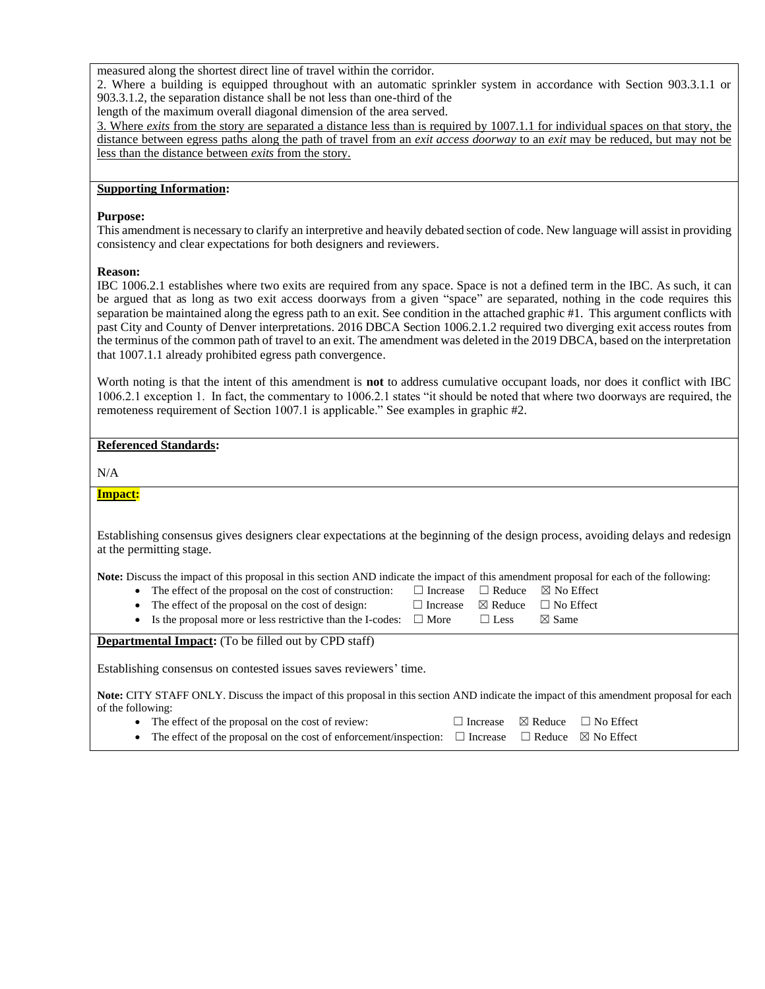measured along the shortest direct line of travel within the corridor.

2. Where a building is equipped throughout with an automatic sprinkler system in accordance with Section 903.3.1.1 or 903.3.1.2, the separation distance shall be not less than one-third of the

length of the maximum overall diagonal dimension of the area served.

3. Where *exits* from the story are separated a distance less than is required by 1007.1.1 for individual spaces on that story, the distance between egress paths along the path of travel from an *exit access doorway* to an *exit* may be reduced, but may not be less than the distance between *exits* from the story.

# **Supporting Information:**

## **Purpose:**

This amendment is necessary to clarify an interpretive and heavily debated section of code. New language will assist in providing consistency and clear expectations for both designers and reviewers.

## **Reason:**

IBC 1006.2.1 establishes where two exits are required from any space. Space is not a defined term in the IBC. As such, it can be argued that as long as two exit access doorways from a given "space" are separated, nothing in the code requires this separation be maintained along the egress path to an exit. See condition in the attached graphic #1. This argument conflicts with past City and County of Denver interpretations. 2016 DBCA Section 1006.2.1.2 required two diverging exit access routes from the terminus of the common path of travel to an exit. The amendment was deleted in the 2019 DBCA, based on the interpretation that 1007.1.1 already prohibited egress path convergence.

Worth noting is that the intent of this amendment is **not** to address cumulative occupant loads, nor does it conflict with IBC 1006.2.1 exception 1. In fact, the commentary to 1006.2.1 states "it should be noted that where two doorways are required, the remoteness requirement of Section 1007.1 is applicable." See examples in graphic #2.

## **Referenced Standards:**

 $N/A$ 

# **Impact:**

Establishing consensus gives designers clear expectations at the beginning of the design process, avoiding delays and redesign at the permitting stage.

**Note:** Discuss the impact of this proposal in this section AND indicate the impact of this amendment proposal for each of the following:

- The effect of the proposal on the cost of construction: □ Increase □ Reduce ⊠ No Effect
- 
- The effect of the proposal on the cost of design: □ Increase ⊠ Reduce □ No Effect • Is the proposal more or less restrictive than the I-codes:  $\Box$  More  $\Box$  Less  $\boxtimes$  Same

**Departmental Impact:** (To be filled out by CPD staff)

Establishing consensus on contested issues saves reviewers' time.

**Note:** CITY STAFF ONLY. Discuss the impact of this proposal in this section AND indicate the impact of this amendment proposal for each of the following:

- The effect of the proposal on the cost of review:  $\Box$  Increase  $\boxtimes$  Reduce  $\Box$  No Effect
- The effect of the proposal on the cost of enforcement/inspection: □ Increase □ Reduce ⊠ No Effect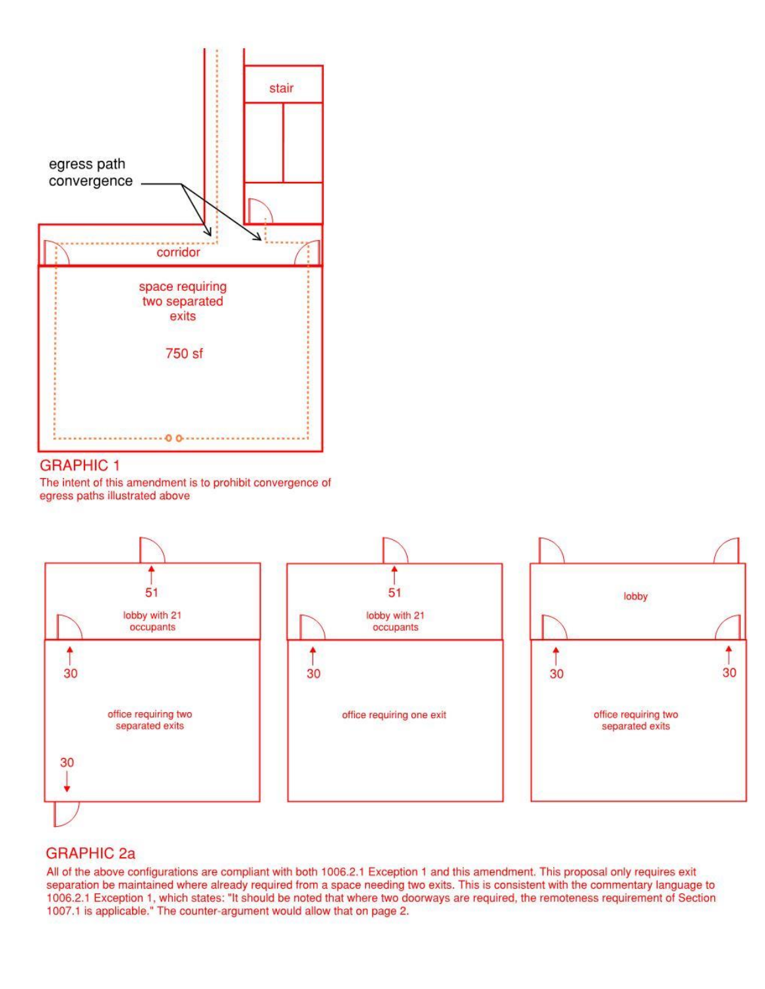

# **GRAPHIC 1**

The intent of this amendment is to prohibit convergence of egress paths illustrated above



# **GRAPHIC 2a**

All of the above configurations are compliant with both 1006.2.1 Exception 1 and this amendment. This proposal only requires exit separation be maintained where already required from a space needing two exits. This is consistent with the commentary language to 1006.2.1 Exception 1, which states: "It should be noted that where two doorways are required, the remoteness requirement of Section 1007.1 is applicable." The counter-argument would allow that on page 2.